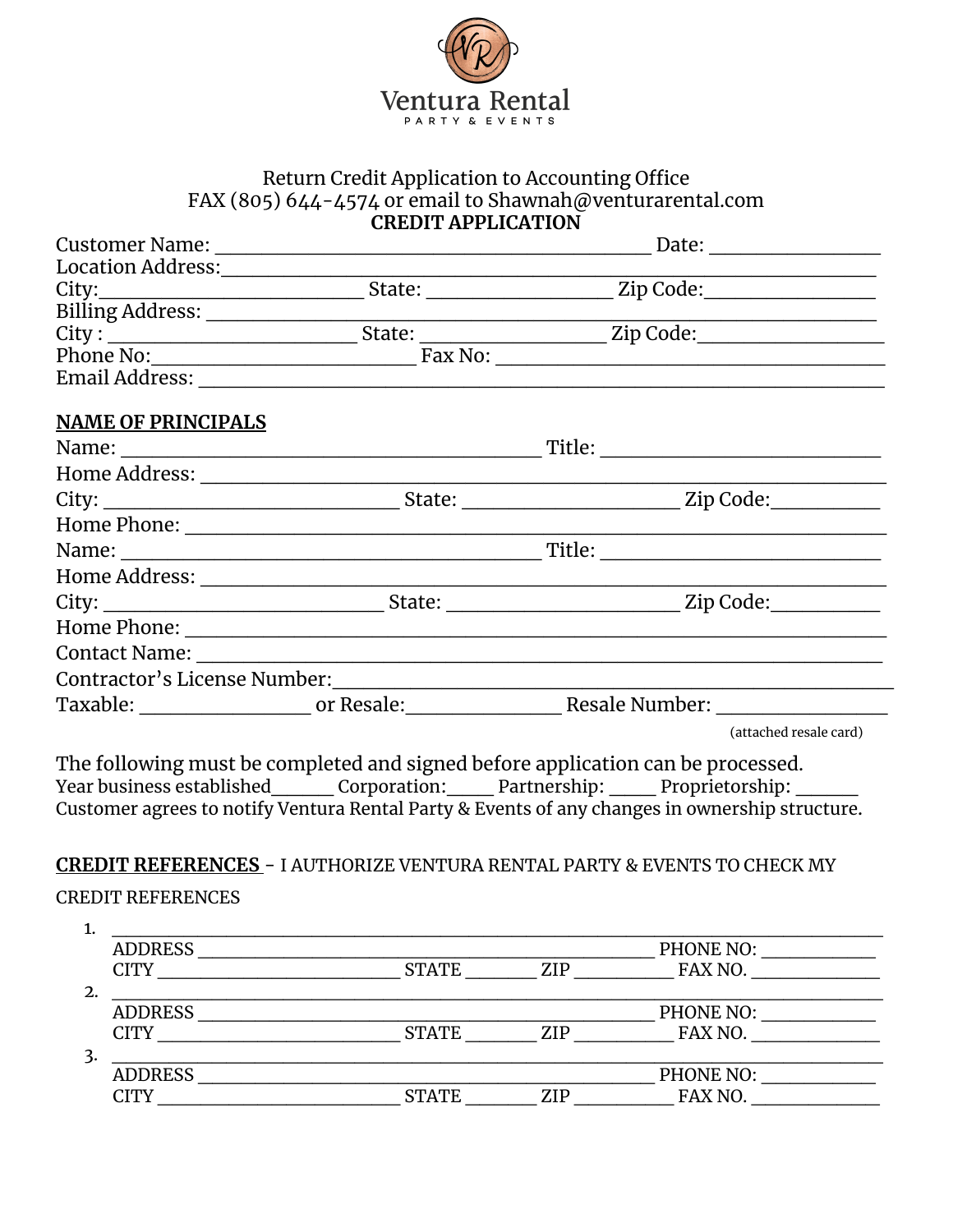

## Return Credit Application to Accounting Office FAX (805) 644-4574 or email to Shawnah@venturarental.com **CREDIT APPLICATION**

|                                               |  | Date: $\frac{1}{\sqrt{1-\frac{1}{2}}}\frac{1}{\sqrt{1-\frac{1}{2}}}\frac{1}{\sqrt{1-\frac{1}{2}}}\frac{1}{\sqrt{1-\frac{1}{2}}}\frac{1}{\sqrt{1-\frac{1}{2}}}\frac{1}{\sqrt{1-\frac{1}{2}}}\frac{1}{\sqrt{1-\frac{1}{2}}}\frac{1}{\sqrt{1-\frac{1}{2}}}\frac{1}{\sqrt{1-\frac{1}{2}}}\frac{1}{\sqrt{1-\frac{1}{2}}}\frac{1}{\sqrt{1-\frac{1}{2}}}\frac{1}{\sqrt{1-\frac{1}{2}}}\frac{1}{\sqrt{1-\frac{1}{2}}}\frac{1}{\$ |
|-----------------------------------------------|--|--------------------------------------------------------------------------------------------------------------------------------------------------------------------------------------------------------------------------------------------------------------------------------------------------------------------------------------------------------------------------------------------------------------------------|
| Location Address:<br><u>Location Address:</u> |  |                                                                                                                                                                                                                                                                                                                                                                                                                          |
|                                               |  |                                                                                                                                                                                                                                                                                                                                                                                                                          |
|                                               |  |                                                                                                                                                                                                                                                                                                                                                                                                                          |
|                                               |  |                                                                                                                                                                                                                                                                                                                                                                                                                          |
|                                               |  |                                                                                                                                                                                                                                                                                                                                                                                                                          |
|                                               |  |                                                                                                                                                                                                                                                                                                                                                                                                                          |
| <b>NAME OF PRINCIPALS</b>                     |  |                                                                                                                                                                                                                                                                                                                                                                                                                          |
|                                               |  |                                                                                                                                                                                                                                                                                                                                                                                                                          |
|                                               |  |                                                                                                                                                                                                                                                                                                                                                                                                                          |
|                                               |  |                                                                                                                                                                                                                                                                                                                                                                                                                          |
|                                               |  |                                                                                                                                                                                                                                                                                                                                                                                                                          |
|                                               |  |                                                                                                                                                                                                                                                                                                                                                                                                                          |
|                                               |  |                                                                                                                                                                                                                                                                                                                                                                                                                          |
|                                               |  |                                                                                                                                                                                                                                                                                                                                                                                                                          |
|                                               |  |                                                                                                                                                                                                                                                                                                                                                                                                                          |
|                                               |  |                                                                                                                                                                                                                                                                                                                                                                                                                          |
|                                               |  |                                                                                                                                                                                                                                                                                                                                                                                                                          |
|                                               |  |                                                                                                                                                                                                                                                                                                                                                                                                                          |
|                                               |  | (attached resale card)                                                                                                                                                                                                                                                                                                                                                                                                   |

The following must be completed and signed before application can be processed. Year business established\_\_\_\_ Corporation:\_\_\_ Partnership: \_\_\_ Proprietorship: \_\_\_\_ Customer agrees to notify Ventura Rental Party & Events of any changes in ownership structure.

# **CREDIT REFERENCES** - I AUTHORIZE VENTURA RENTAL PARTY & EVENTS TO CHECK MY

## CREDIT REFERENCES

| <b>ADDRESS</b> |              |     | PHONE NO: |  |
|----------------|--------------|-----|-----------|--|
| CITY           | <b>STATE</b> | ZIP | FAX NO.   |  |
|                |              |     |           |  |
| <b>ADDRESS</b> |              |     | PHONE NO: |  |
| CITY           | <b>STATE</b> | ZIP | FAX NO.   |  |
|                |              |     |           |  |
| <b>ADDRESS</b> |              |     | PHONE NO: |  |
| CITY           | <b>STATE</b> | ZIP | FAX NO.   |  |
|                |              |     |           |  |